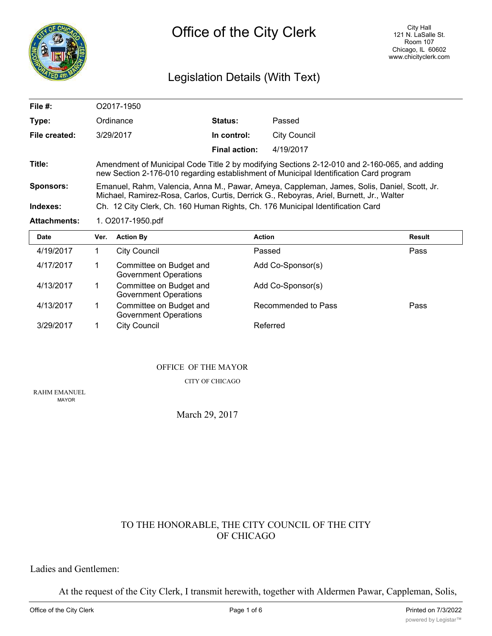

# Legislation Details (With Text)

| File $#$ :          | O2017-1950                                                                                                                                                                              |                      |                     |  |  |  |
|---------------------|-----------------------------------------------------------------------------------------------------------------------------------------------------------------------------------------|----------------------|---------------------|--|--|--|
| Type:               | Ordinance                                                                                                                                                                               | <b>Status:</b>       | Passed              |  |  |  |
| File created:       | 3/29/2017                                                                                                                                                                               | In control:          | <b>City Council</b> |  |  |  |
|                     |                                                                                                                                                                                         | <b>Final action:</b> | 4/19/2017           |  |  |  |
| Title:              | Amendment of Municipal Code Title 2 by modifying Sections 2-12-010 and 2-160-065, and adding<br>new Section 2-176-010 regarding establishment of Municipal Identification Card program  |                      |                     |  |  |  |
| <b>Sponsors:</b>    | Emanuel, Rahm, Valencia, Anna M., Pawar, Ameya, Cappleman, James, Solis, Daniel, Scott, Jr.<br>Michael, Ramirez-Rosa, Carlos, Curtis, Derrick G., Reboyras, Ariel, Burnett, Jr., Walter |                      |                     |  |  |  |
| Indexes:            | Ch. 12 City Clerk, Ch. 160 Human Rights, Ch. 176 Municipal Identification Card                                                                                                          |                      |                     |  |  |  |
| <b>Attachments:</b> | 1. O2017-1950.pdf                                                                                                                                                                       |                      |                     |  |  |  |
| <b>D.L.</b>         | Marco - Andrew Bro                                                                                                                                                                      | $A = 41 - 4$         | <b>B</b> - - - - 14 |  |  |  |

| <b>Date</b> | Ver. | <b>Action By</b>                                        | <b>Action</b>       | <b>Result</b> |
|-------------|------|---------------------------------------------------------|---------------------|---------------|
| 4/19/2017   |      | <b>City Council</b>                                     | Passed              | Pass          |
| 4/17/2017   |      | Committee on Budget and<br><b>Government Operations</b> | Add Co-Sponsor(s)   |               |
| 4/13/2017   |      | Committee on Budget and<br><b>Government Operations</b> | Add Co-Sponsor(s)   |               |
| 4/13/2017   |      | Committee on Budget and<br><b>Government Operations</b> | Recommended to Pass | Pass          |
| 3/29/2017   |      | <b>City Council</b>                                     | Referred            |               |

#### OFFICE OF THE MAYOR

CITY OF CHICAGO

RAHM EMANUEL MAYOR

March 29, 2017

### TO THE HONORABLE, THE CITY COUNCIL OF THE CITY OF CHICAGO

### Ladies and Gentlemen:

At the request of the City Clerk, I transmit herewith, together with Aldermen Pawar, Cappleman, Solis,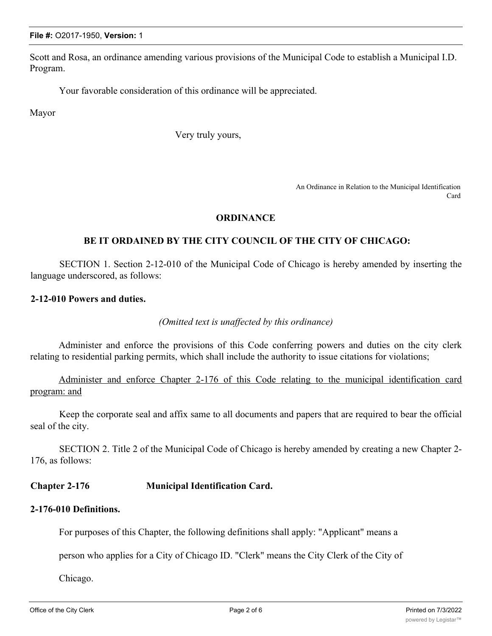**File #:** O2017-1950, **Version:** 1

Scott and Rosa, an ordinance amending various provisions of the Municipal Code to establish a Municipal I.D. Program.

Your favorable consideration of this ordinance will be appreciated.

Mayor

Very truly yours,

An Ordinance in Relation to the Municipal Identification Card

### **ORDINANCE**

### **BE IT ORDAINED BY THE CITY COUNCIL OF THE CITY OF CHICAGO:**

SECTION 1. Section 2-12-010 of the Municipal Code of Chicago is hereby amended by inserting the language underscored, as follows:

## **2-12-010 Powers and duties.**

*(Omitted text is unaffected by this ordinance)*

Administer and enforce the provisions of this Code conferring powers and duties on the city clerk relating to residential parking permits, which shall include the authority to issue citations for violations;

Administer and enforce Chapter 2-176 of this Code relating to the municipal identification card program: and

Keep the corporate seal and affix same to all documents and papers that are required to bear the official seal of the city.

SECTION 2. Title 2 of the Municipal Code of Chicago is hereby amended by creating a new Chapter 2- 176, as follows:

# **Chapter 2-176 Municipal Identification Card.**

# **2-176-010 Definitions.**

For purposes of this Chapter, the following definitions shall apply: "Applicant" means a

person who applies for a City of Chicago ID. "Clerk" means the City Clerk of the City of

Chicago.

 $\mathcal{C}$  means an identification card issued by the City of Chicago that displays an identification card displays  $\mathcal{C}$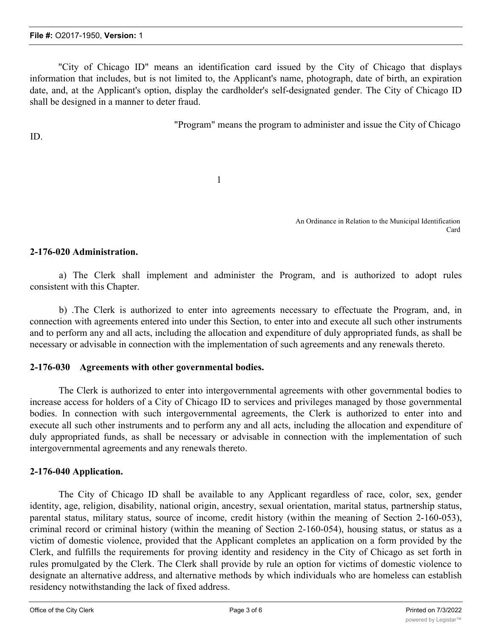"City of Chicago ID" means an identification card issued by the City of Chicago that displays information that includes, but is not limited to, the Applicant's name, photograph, date of birth, an expiration date, and, at the Applicant's option, display the cardholder's self-designated gender. The City of Chicago ID shall be designed in a manner to deter fraud.

"Program" means the program to administer and issue the City of Chicago

ID.

1

An Ordinance in Relation to the Municipal Identification Card

### **2-176-020 Administration.**

a) The Clerk shall implement and administer the Program, and is authorized to adopt rules consistent with this Chapter.

b) .The Clerk is authorized to enter into agreements necessary to effectuate the Program, and, in connection with agreements entered into under this Section, to enter into and execute all such other instruments and to perform any and all acts, including the allocation and expenditure of duly appropriated funds, as shall be necessary or advisable in connection with the implementation of such agreements and any renewals thereto.

### **2-176-030 Agreements with other governmental bodies.**

The Clerk is authorized to enter into intergovernmental agreements with other governmental bodies to increase access for holders of a City of Chicago ID to services and privileges managed by those governmental bodies. In connection with such intergovernmental agreements, the Clerk is authorized to enter into and execute all such other instruments and to perform any and all acts, including the allocation and expenditure of duly appropriated funds, as shall be necessary or advisable in connection with the implementation of such intergovernmental agreements and any renewals thereto.

### **2-176-040 Application.**

The City of Chicago ID shall be available to any Applicant regardless of race, color, sex, gender identity, age, religion, disability, national origin, ancestry, sexual orientation, marital status, partnership status, parental status, military status, source of income, credit history (within the meaning of Section 2-160-053), criminal record or criminal history (within the meaning of Section 2-160-054), housing status, or status as a victim of domestic violence, provided that the Applicant completes an application on a form provided by the Clerk, and fulfills the requirements for proving identity and residency in the City of Chicago as set forth in rules promulgated by the Clerk. The Clerk shall provide by rule an option for victims of domestic violence to designate an alternative address, and alternative methods by which individuals who are homeless can establish residency notwithstanding the lack of fixed address.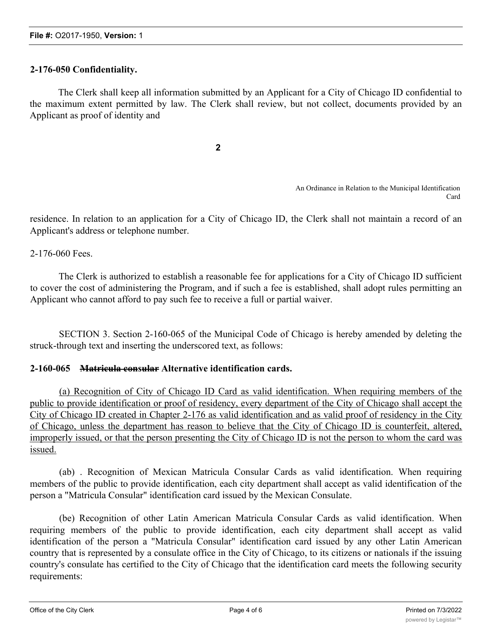### **2-176-050 Confidentiality.**

The Clerk shall keep all information submitted by an Applicant for a City of Chicago ID confidential to the maximum extent permitted by law. The Clerk shall review, but not collect, documents provided by an Applicant as proof of identity and

**2**

An Ordinance in Relation to the Municipal Identification Card

residence. In relation to an application for a City of Chicago ID, the Clerk shall not maintain a record of an Applicant's address or telephone number.

2-176-060 Fees.

The Clerk is authorized to establish a reasonable fee for applications for a City of Chicago ID sufficient to cover the cost of administering the Program, and if such a fee is established, shall adopt rules permitting an Applicant who cannot afford to pay such fee to receive a full or partial waiver.

SECTION 3. Section 2-160-065 of the Municipal Code of Chicago is hereby amended by deleting the struck-through text and inserting the underscored text, as follows:

### **2-160-065 Matricula consular Alternative identification cards.**

(a) Recognition of City of Chicago ID Card as valid identification. When requiring members of the public to provide identification or proof of residency, every department of the City of Chicago shall accept the City of Chicago ID created in Chapter 2-176 as valid identification and as valid proof of residency in the City of Chicago, unless the department has reason to believe that the City of Chicago ID is counterfeit, altered, improperly issued, or that the person presenting the City of Chicago ID is not the person to whom the card was issued.

(ab) . Recognition of Mexican Matricula Consular Cards as valid identification. When requiring members of the public to provide identification, each city department shall accept as valid identification of the person a "Matricula Consular" identification card issued by the Mexican Consulate.

(be) Recognition of other Latin American Matricula Consular Cards as valid identification. When requiring members of the public to provide identification, each city department shall accept as valid identification of the person a "Matricula Consular" identification card issued by any other Latin American country that is represented by a consulate office in the City of Chicago, to its citizens or nationals if the issuing country's consulate has certified to the City of Chicago that the identification card meets the following security requirements: